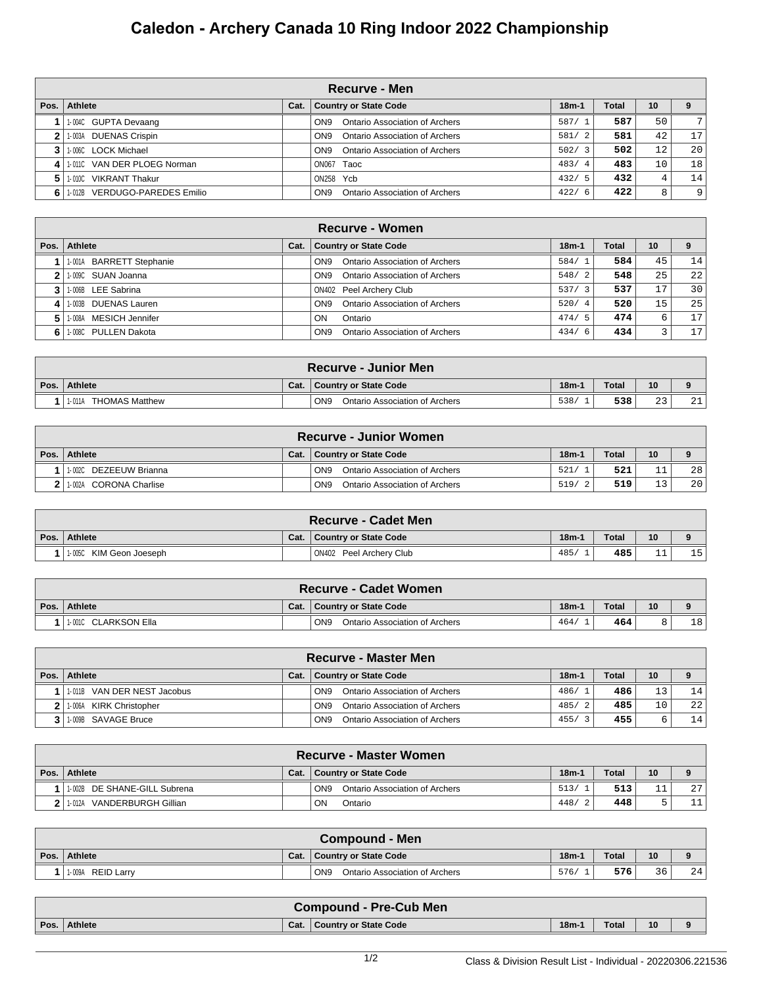## **Caledon - Archery Canada 10 Ring Indoor 2022 Championship**

|              | <b>Recurve - Men</b>          |      |                                                          |             |       |                   |    |  |  |  |  |  |
|--------------|-------------------------------|------|----------------------------------------------------------|-------------|-------|-------------------|----|--|--|--|--|--|
| Pos.         | Athlete                       | Cat. | <b>Country or State Code</b>                             | $18m-1$     | Total | 10                |    |  |  |  |  |  |
|              | 1-004C GUPTA Devaang          |      | <b>Ontario Association of Archers</b><br>ON <sub>9</sub> | 587/        | 587   | 50                | 7  |  |  |  |  |  |
|              | 1-003A DUENAS Crispin         |      | Ontario Association of Archers<br>ON <sub>9</sub>        | 581/2       | 581   | 42                | 17 |  |  |  |  |  |
|              | 1-006C LOCK Michael           |      | Ontario Association of Archers<br>ON <sub>9</sub>        | 502/3       | 502   | $12 \overline{ }$ | 20 |  |  |  |  |  |
| $\mathbf{A}$ | 1-0110 VAN DER PLOEG Norman   |      | ON067 Taoc                                               | 483/4       | 483   | 10                | 18 |  |  |  |  |  |
| 5            | 1-010C VIKRANT Thakur         |      | ON258 Ycb                                                | 432/5       | 432   | 4                 | 14 |  |  |  |  |  |
| 6 I          | 1-012B VERDUGO-PAREDES Emilio |      | ON <sub>9</sub><br>Ontario Association of Archers        | 422/<br>- 6 | 422   | 8                 | 9  |  |  |  |  |  |

|    | Recurve - Women          |      |                                                          |         |       |    |                 |  |  |  |  |  |
|----|--------------------------|------|----------------------------------------------------------|---------|-------|----|-----------------|--|--|--|--|--|
|    | Pos.   Athlete           | Cat. | <b>Country or State Code</b>                             | $18m-1$ | Total | 10 |                 |  |  |  |  |  |
|    | 1-001A BARRETT Stephanie |      | <b>Ontario Association of Archers</b><br>ON <sub>9</sub> | 584/1   | 584   | 45 | 14              |  |  |  |  |  |
|    | 11-009C SUAN Joanna      |      | <b>Ontario Association of Archers</b><br>ON <sub>9</sub> | 548/2   | 548   | 25 | 22              |  |  |  |  |  |
|    | 3 1006B LEE Sabrina      |      | <b>ON402 Peel Archery Club</b>                           | 537/3   | 537   | 17 | 30 <sup>1</sup> |  |  |  |  |  |
|    | 4 1 1 003B DUENAS Lauren |      | <b>Ontario Association of Archers</b><br>ON <sub>9</sub> | 520/4   | 520   | 15 | 25 <sub>1</sub> |  |  |  |  |  |
| 5. | 1008A MESICH Jennifer    |      | ON<br>Ontario                                            | 474/    | 474   | б. | 171             |  |  |  |  |  |
|    | 6 1.008C PULLEN Dakota   |      | <b>Ontario Association of Archers</b><br>ON <sub>9</sub> | 434/6   | 434   |    | 17 <sup>1</sup> |  |  |  |  |  |

| ∖ Recurve - Junior Men∛         |      |                                                   |         |              |              |                   |  |  |  |  |
|---------------------------------|------|---------------------------------------------------|---------|--------------|--------------|-------------------|--|--|--|--|
| Pos. Athlete                    | Cat. | <b>Country or State Code</b>                      | $18m-1$ | <b>Total</b> | 10           |                   |  |  |  |  |
| <b>THOMAS Matthew</b><br>1-011A |      | ON <sub>9</sub><br>Ontario Association of Archers | 538.    | 538          | $\sim$<br>-- | $\bigcap$ 1<br>∠⊥ |  |  |  |  |

|      | <b>Recurve - Junior Women</b> |      |                                                   |         |       |             |                 |  |  |  |  |
|------|-------------------------------|------|---------------------------------------------------|---------|-------|-------------|-----------------|--|--|--|--|
| Pos. | Athlete                       | Cat. | Country or State Code                             | $18m-1$ | Total | 10          |                 |  |  |  |  |
|      | 1-002C DEZEEUW Brianna        |      | ON <sub>9</sub><br>Ontario Association of Archers | 521/    | 521   | <u>ــ ـ</u> | 28              |  |  |  |  |
|      | 11-002A CORONA Charlise       |      | Ontario Association of Archers<br>ON <sub>9</sub> | 519/    | 519   | 121<br>ᅩᇰ   | 20 <sup>1</sup> |  |  |  |  |

|      | <b>Recurve - Cadet Men</b> |      |                              |         |              |                 |     |  |  |  |  |
|------|----------------------------|------|------------------------------|---------|--------------|-----------------|-----|--|--|--|--|
| Pos. | Athlete                    | Cat. | <b>Country or State Code</b> | $18m-1$ | <b>Total</b> | 10 <sup>1</sup> |     |  |  |  |  |
|      | 11-005C KIM Geon Joeseph   |      | ON402 Peel Archery Club      | 485/    | 485          | -- -            | 15' |  |  |  |  |

| <b>Recurve - Cadet Women</b> |      |                                                   |         |              |    |    |  |  |  |  |
|------------------------------|------|---------------------------------------------------|---------|--------------|----|----|--|--|--|--|
| Pos. Athlete                 | Cat. | <b>Country or State Code</b>                      | $18m-1$ | <b>Total</b> | 10 |    |  |  |  |  |
| 11-0010 CLARKSON Ella        |      | ON <sub>9</sub><br>Ontario Association of Archers | 464/    | 464          |    | 18 |  |  |  |  |

|      | <b>Recurve - Master Men</b> |      |                                                   |         |              |                 |    |  |  |  |  |
|------|-----------------------------|------|---------------------------------------------------|---------|--------------|-----------------|----|--|--|--|--|
| Pos. | Athlete                     | Cat. | Country or State Code                             | $18m-1$ | <b>Total</b> | 10              |    |  |  |  |  |
|      | 1-011B VAN DER NEST Jacobus |      | Ontario Association of Archers<br>ON <sub>9</sub> | 486/1   | 486          | 13 <sup>°</sup> | 14 |  |  |  |  |
|      | 2 1-006A KIRK Christopher   |      | Ontario Association of Archers<br>ON <sub>9</sub> | 485/2   | 485          | 10              | 22 |  |  |  |  |
|      | 1-009B SAVAGE Bruce         |      | ON <sub>9</sub><br>Ontario Association of Archers | 455/3   | 455          | 6               | 14 |  |  |  |  |

| <b>Recurve - Master Women</b>     |      |                                                   |         |              |    |    |  |  |  |  |
|-----------------------------------|------|---------------------------------------------------|---------|--------------|----|----|--|--|--|--|
| Pos.   Athlete                    | Cat. | Country or State Code                             | $18m-1$ | <b>Total</b> | 10 |    |  |  |  |  |
| 1-002B DE SHANE-GILL Subrena      |      | ON <sub>9</sub><br>Ontario Association of Archers | 513/    | 513          |    | 27 |  |  |  |  |
| VANDERBURGH Gillian<br>$1 - 012A$ |      | ON<br>Ontario                                     | 448/    | 448          | ີ  |    |  |  |  |  |

| <b>Compound - Men</b> |      |                                                          |         |       |    |    |  |  |  |  |
|-----------------------|------|----------------------------------------------------------|---------|-------|----|----|--|--|--|--|
| Pos. Athlete          | Cat. | <b>Country or State Code</b>                             | $18m-1$ | Total | 10 |    |  |  |  |  |
| REID Larry<br>1-009A  |      | ON <sub>9</sub><br><b>Ontario Association of Archers</b> | 576/    | 576   | 36 | 24 |  |  |  |  |

| $18m - i$<br>Total<br><b>Athlete</b><br>10<br>Pos.<br>  Country or State Code<br>Cat. |  | <b>Compound - Pre-Cub Men</b> |  |  |
|---------------------------------------------------------------------------------------|--|-------------------------------|--|--|
|                                                                                       |  |                               |  |  |